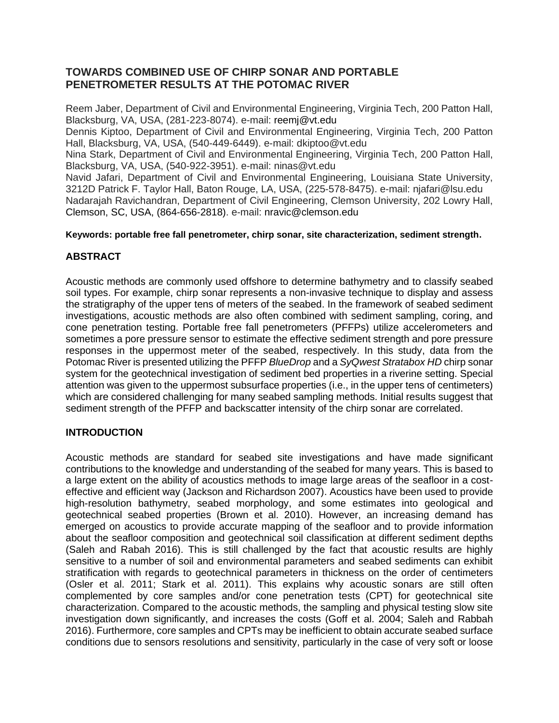# **TOWARDS COMBINED USE OF CHIRP SONAR AND PORTABLE PENETROMETER RESULTS AT THE POTOMAC RIVER**

Reem Jaber, Department of Civil and Environmental Engineering, Virginia Tech, 200 Patton Hall, Blacksburg, VA, USA, (281-223-8074). e-mail: [reemj@vt.edu](mailto:reemj@vt.edu)

Dennis Kiptoo, Department of Civil and Environmental Engineering, Virginia Tech, 200 Patton Hall, Blacksburg, VA, USA, (540-449-6449). e-mail: dkiptoo@vt.edu

Nina Stark, Department of Civil and Environmental Engineering, Virginia Tech, 200 Patton Hall, Blacksburg, VA, USA, (540-922-3951). e-mail: ninas@vt.edu

Navid Jafari, Department of Civil and Environmental Engineering, Louisiana State University, 3212D Patrick F. Taylor Hall, Baton Rouge, LA, USA, (225-578-8475). e-mail: [njafari@lsu.edu](mailto:njafari@lsu.edu) Nadarajah Ravichandran, Department of Civil Engineering, Clemson University, 202 Lowry Hall, Clemson, SC, USA, (864-656-2818). e-mail: [nravic@clemson.edu](mailto:nravic@clemson.edu)

### **Keywords: portable free fall penetrometer, chirp sonar, site characterization, sediment strength.**

## **ABSTRACT**

Acoustic methods are commonly used offshore to determine bathymetry and to classify seabed soil types. For example, chirp sonar represents a non-invasive technique to display and assess the stratigraphy of the upper tens of meters of the seabed. In the framework of seabed sediment investigations, acoustic methods are also often combined with sediment sampling, coring, and cone penetration testing. Portable free fall penetrometers (PFFPs) utilize accelerometers and sometimes a pore pressure sensor to estimate the effective sediment strength and pore pressure responses in the uppermost meter of the seabed, respectively. In this study, data from the Potomac River is presented utilizing the PFFP *BlueDrop* and a *SyQwest Stratabox HD* chirp sonar system for the geotechnical investigation of sediment bed properties in a riverine setting. Special attention was given to the uppermost subsurface properties (i.e., in the upper tens of centimeters) which are considered challenging for many seabed sampling methods. Initial results suggest that sediment strength of the PFFP and backscatter intensity of the chirp sonar are correlated.

# **INTRODUCTION**

Acoustic methods are standard for seabed site investigations and have made significant contributions to the knowledge and understanding of the seabed for many years. This is based to a large extent on the ability of acoustics methods to image large areas of the seafloor in a costeffective and efficient way (Jackson and Richardson 2007). Acoustics have been used to provide high-resolution bathymetry, seabed morphology, and some estimates into geological and geotechnical seabed properties (Brown et al. 2010). However, an increasing demand has emerged on acoustics to provide accurate mapping of the seafloor and to provide information about the seafloor composition and geotechnical soil classification at different sediment depths (Saleh and Rabah 2016). This is still challenged by the fact that acoustic results are highly sensitive to a number of soil and environmental parameters and seabed sediments can exhibit stratification with regards to geotechnical parameters in thickness on the order of centimeters (Osler et al. 2011; Stark et al. 2011). This explains why acoustic sonars are still often complemented by core samples and/or cone penetration tests (CPT) for geotechnical site characterization. Compared to the acoustic methods, the sampling and physical testing slow site investigation down significantly, and increases the costs (Goff et al. 2004; Saleh and Rabbah 2016). Furthermore, core samples and CPTs may be inefficient to obtain accurate seabed surface conditions due to sensors resolutions and sensitivity, particularly in the case of very soft or loose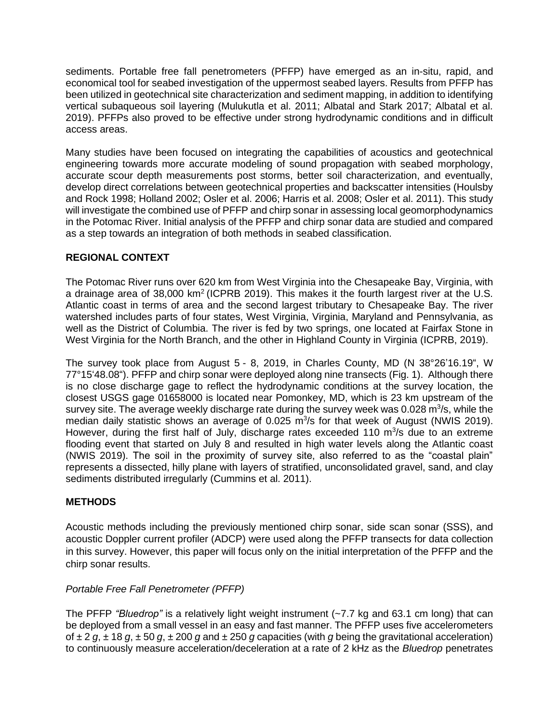sediments. Portable free fall penetrometers (PFFP) have emerged as an in-situ, rapid, and economical tool for seabed investigation of the uppermost seabed layers. Results from PFFP has been utilized in geotechnical site characterization and sediment mapping, in addition to identifying vertical subaqueous soil layering (Mulukutla et al. 2011; Albatal and Stark 2017; Albatal et al. 2019). PFFPs also proved to be effective under strong hydrodynamic conditions and in difficult access areas.

Many studies have been focused on integrating the capabilities of acoustics and geotechnical engineering towards more accurate modeling of sound propagation with seabed morphology, accurate scour depth measurements post storms, better soil characterization, and eventually, develop direct correlations between geotechnical properties and backscatter intensities (Houlsby and Rock 1998; Holland 2002; Osler et al. 2006; Harris et al. 2008; Osler et al. 2011). This study will investigate the combined use of PFFP and chirp sonar in assessing local geomorphodynamics in the Potomac River. Initial analysis of the PFFP and chirp sonar data are studied and compared as a step towards an integration of both methods in seabed classification.

# **REGIONAL CONTEXT**

The Potomac River runs over 620 km from West Virginia into the Chesapeake Bay, Virginia, with a drainage area of 38,000  $km^2$  (ICPRB 2019). This makes it the fourth largest river at the U.S. Atlantic coast in terms of area and the second largest tributary to Chesapeake Bay. The river watershed includes parts of four states, West Virginia, Virginia, Maryland and Pennsylvania, as well as the District of Columbia. The river is fed by two springs, one located at Fairfax Stone in West Virginia for the North Branch, and the other in Highland County in Virginia (ICPRB, 2019).

The survey took place from August 5 - 8, 2019, in Charles County, MD (N 38°26'16.19", W 77°15'48.08"). PFFP and chirp sonar were deployed along nine transects (Fig. 1). Although there is no close discharge gage to reflect the hydrodynamic conditions at the survey location, the closest USGS gage 01658000 is located near Pomonkey, MD, which is 23 km upstream of the survey site. The average weekly discharge rate during the survey week was 0.028  $m^3/s$ , while the median daily statistic shows an average of  $0.025$  m<sup>3</sup>/s for that week of August (NWIS 2019). However, during the first half of July, discharge rates exceeded 110 m<sup>3</sup>/s due to an extreme flooding event that started on July 8 and resulted in high water levels along the Atlantic coast (NWIS 2019). The soil in the proximity of survey site, also referred to as the "coastal plain" represents a dissected, hilly plane with layers of stratified, unconsolidated gravel, sand, and clay sediments distributed irregularly (Cummins et al. 2011).

# **METHODS**

Acoustic methods including the previously mentioned chirp sonar, side scan sonar (SSS), and acoustic Doppler current profiler (ADCP) were used along the PFFP transects for data collection in this survey. However, this paper will focus only on the initial interpretation of the PFFP and the chirp sonar results.

# *Portable Free Fall Penetrometer (PFFP)*

The PFFP *"Bluedrop"* is a relatively light weight instrument (~7.7 kg and 63.1 cm long) that can be deployed from a small vessel in an easy and fast manner. The PFFP uses five accelerometers of ± 2 *g*, ± 18 *g*, ± 50 *g*, ± 200 *g* and ± 250 *g* capacities (with *g* being the gravitational acceleration) to continuously measure acceleration/deceleration at a rate of 2 kHz as the *Bluedrop* penetrates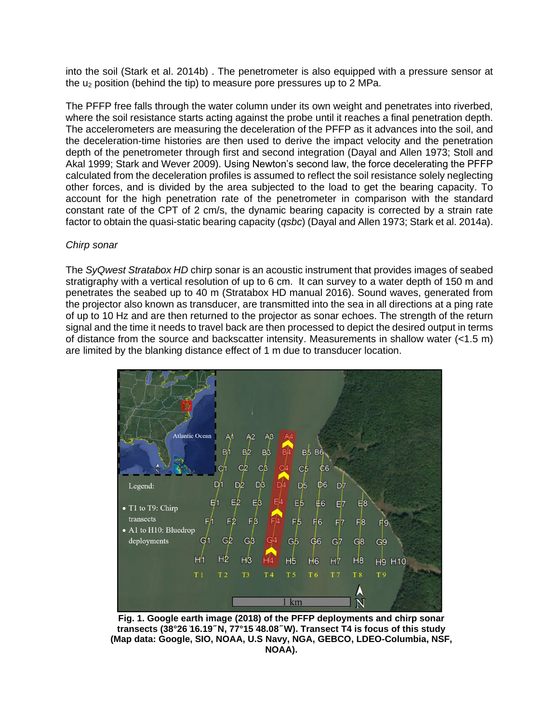into the soil (Stark et al. 2014b) . The penetrometer is also equipped with a pressure sensor at the  $u_2$  position (behind the tip) to measure pore pressures up to 2 MPa.

The PFFP free falls through the water column under its own weight and penetrates into riverbed, where the soil resistance starts acting against the probe until it reaches a final penetration depth. The accelerometers are measuring the deceleration of the PFFP as it advances into the soil, and the deceleration-time histories are then used to derive the impact velocity and the penetration depth of the penetrometer through first and second integration (Dayal and Allen 1973; Stoll and Akal 1999; Stark and Wever 2009). Using Newton's second law, the force decelerating the PFFP calculated from the deceleration profiles is assumed to reflect the soil resistance solely neglecting other forces, and is divided by the area subjected to the load to get the bearing capacity. To account for the high penetration rate of the penetrometer in comparison with the standard constant rate of the CPT of 2 cm/s, the dynamic bearing capacity is corrected by a strain rate factor to obtain the quasi-static bearing capacity (*qsbc*) (Dayal and Allen 1973; Stark et al. 2014a).

#### *Chirp sonar*

The *SyQwest Stratabox HD* chirp sonar is an acoustic instrument that provides images of seabed stratigraphy with a vertical resolution of up to 6 cm. It can survey to a water depth of 150 m and penetrates the seabed up to 40 m (Stratabox HD manual 2016). Sound waves, generated from the projector also known as transducer, are transmitted into the sea in all directions at a ping rate of up to 10 Hz and are then returned to the projector as sonar echoes. The strength of the return signal and the time it needs to travel back are then processed to depict the desired output in terms of distance from the source and backscatter intensity. Measurements in shallow water (<1.5 m) are limited by the blanking distance effect of 1 m due to transducer location.



**Fig. 1. Google earth image (2018) of the PFFP deployments and chirp sonar transects (38°26 ̍16.19 ̋N, 77°15 ̍48.08 ̋W). Transect T4 is focus of this study (Map data: Google, SIO, NOAA, U.S Navy, NGA, GEBCO, LDEO-Columbia, NSF, NOAA).**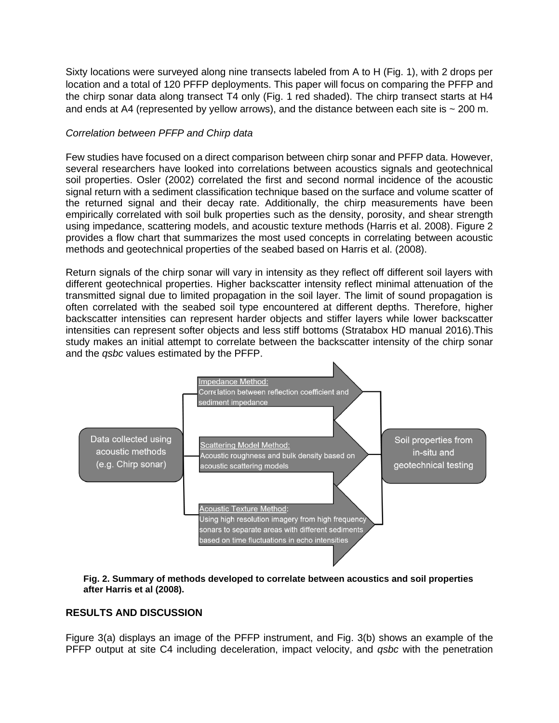Sixty locations were surveyed along nine transects labeled from A to H (Fig. 1), with 2 drops per location and a total of 120 PFFP deployments. This paper will focus on comparing the PFFP and the chirp sonar data along transect T4 only (Fig. 1 red shaded). The chirp transect starts at H4 and ends at A4 (represented by yellow arrows), and the distance between each site is  $\sim$  200 m.

## *Correlation between PFFP and Chirp data*

Few studies have focused on a direct comparison between chirp sonar and PFFP data. However, several researchers have looked into correlations between acoustics signals and geotechnical soil properties. Osler (2002) correlated the first and second normal incidence of the acoustic signal return with a sediment classification technique based on the surface and volume scatter of the returned signal and their decay rate. Additionally, the chirp measurements have been empirically correlated with soil bulk properties such as the density, porosity, and shear strength using impedance, scattering models, and acoustic texture methods (Harris et al. 2008). Figure 2 provides a flow chart that summarizes the most used concepts in correlating between acoustic methods and geotechnical properties of the seabed based on Harris et al. (2008).

Return signals of the chirp sonar will vary in intensity as they reflect off different soil layers with different geotechnical properties. Higher backscatter intensity reflect minimal attenuation of the transmitted signal due to limited propagation in the soil layer. The limit of sound propagation is often correlated with the seabed soil type encountered at different depths. Therefore, higher backscatter intensities can represent harder objects and stiffer layers while lower backscatter intensities can represent softer objects and less stiff bottoms (Stratabox HD manual 2016).This study makes an initial attempt to correlate between the backscatter intensity of the chirp sonar and the *qsbc* values estimated by the PFFP.





### **RESULTS AND DISCUSSION**

Figure 3(a) displays an image of the PFFP instrument, and Fig. 3(b) shows an example of the PFFP output at site C4 including deceleration, impact velocity, and *qsbc* with the penetration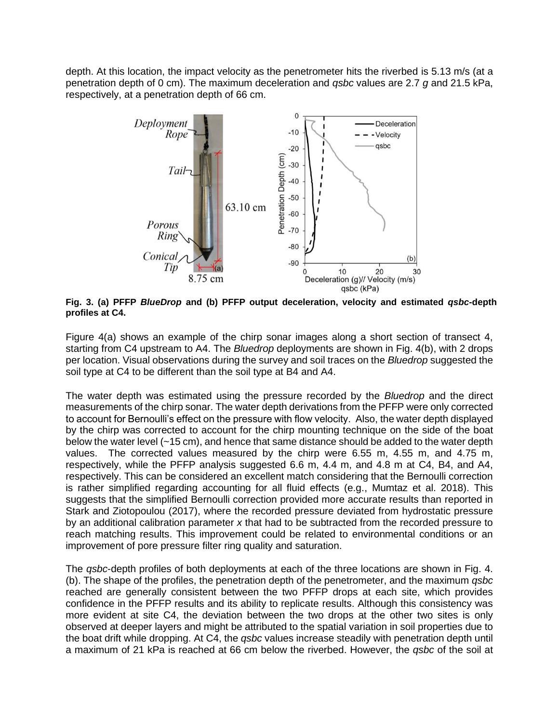depth. At this location, the impact velocity as the penetrometer hits the riverbed is 5.13 m/s (at a penetration depth of 0 cm). The maximum deceleration and *qsbc* values are 2.7 *g* and 21.5 kPa, respectively, at a penetration depth of 66 cm.



**Fig. 3. (a) PFFP** *BlueDrop* **and (b) PFFP output deceleration, velocity and estimated** *qsbc***-depth profiles at C4.**

Figure 4(a) shows an example of the chirp sonar images along a short section of transect 4, starting from C4 upstream to A4. The *Bluedrop* deployments are shown in Fig. 4(b), with 2 drops per location. Visual observations during the survey and soil traces on the *Bluedrop* suggested the soil type at C4 to be different than the soil type at B4 and A4.

The water depth was estimated using the pressure recorded by the *Bluedrop* and the direct measurements of the chirp sonar. The water depth derivations from the PFFP were only corrected to account for Bernoulli's effect on the pressure with flow velocity. Also, the water depth displayed by the chirp was corrected to account for the chirp mounting technique on the side of the boat below the water level (~15 cm), and hence that same distance should be added to the water depth values. The corrected values measured by the chirp were 6.55 m, 4.55 m, and 4.75 m, respectively, while the PFFP analysis suggested 6.6 m, 4.4 m, and 4.8 m at C4, B4, and A4, respectively. This can be considered an excellent match considering that the Bernoulli correction is rather simplified regarding accounting for all fluid effects (e.g., Mumtaz et al. 2018). This suggests that the simplified Bernoulli correction provided more accurate results than reported in Stark and Ziotopoulou (2017), where the recorded pressure deviated from hydrostatic pressure by an additional calibration parameter *x* that had to be subtracted from the recorded pressure to reach matching results. This improvement could be related to environmental conditions or an improvement of pore pressure filter ring quality and saturation.

The *qsbc*-depth profiles of both deployments at each of the three locations are shown in Fig. 4. (b). The shape of the profiles, the penetration depth of the penetrometer, and the maximum *qsbc* reached are generally consistent between the two PFFP drops at each site, which provides confidence in the PFFP results and its ability to replicate results. Although this consistency was more evident at site C4, the deviation between the two drops at the other two sites is only observed at deeper layers and might be attributed to the spatial variation in soil properties due to the boat drift while dropping. At C4, the *qsbc* values increase steadily with penetration depth until a maximum of 21 kPa is reached at 66 cm below the riverbed. However, the *qsbc* of the soil at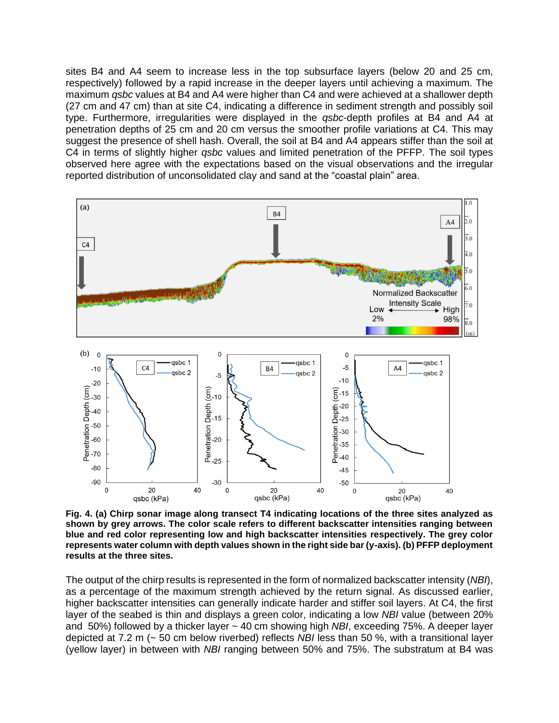sites B4 and A4 seem to increase less in the top subsurface layers (below 20 and 25 cm, respectively) followed by a rapid increase in the deeper layers until achieving a maximum. The maximum *qsbc* values at B4 and A4 were higher than C4 and were achieved at a shallower depth (27 cm and 47 cm) than at site C4, indicating a difference in sediment strength and possibly soil type. Furthermore, irregularities were displayed in the *qsbc*-depth profiles at B4 and A4 at penetration depths of 25 cm and 20 cm versus the smoother profile variations at C4. This may suggest the presence of shell hash. Overall, the soil at B4 and A4 appears stiffer than the soil at C4 in terms of slightly higher *qsbc* values and limited penetration of the PFFP. The soil types observed here agree with the expectations based on the visual observations and the irregular reported distribution of unconsolidated clay and sand at the "coastal plain" area.



**Fig. 4. (a) Chirp sonar image along transect T4 indicating locations of the three sites analyzed as shown by grey arrows. The color scale refers to different backscatter intensities ranging between blue and red color representing low and high backscatter intensities respectively. The grey color represents water column with depth values shown in the right side bar (y-axis). (b) PFFP deployment results at the three sites.**

The output of the chirp results is represented in the form of normalized backscatter intensity (*NBI*), as a percentage of the maximum strength achieved by the return signal. As discussed earlier, higher backscatter intensities can generally indicate harder and stiffer soil layers. At C4, the first layer of the seabed is thin and displays a green color, indicating a low *NBI* value (between 20% and 50%) followed by a thicker layer ~ 40 cm showing high *NBI*, exceeding 75%. A deeper layer depicted at 7.2 m (~ 50 cm below riverbed) reflects *NBI* less than 50 %, with a transitional layer (yellow layer) in between with *NBI* ranging between 50% and 75%. The substratum at B4 was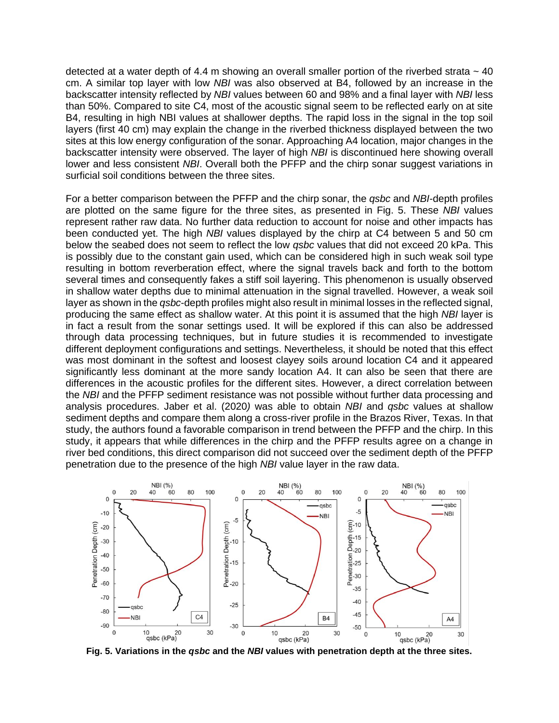detected at a water depth of 4.4 m showing an overall smaller portion of the riverbed strata  $\sim$  40 cm. A similar top layer with low *NBI* was also observed at B4, followed by an increase in the backscatter intensity reflected by *NBI* values between 60 and 98% and a final layer with *NBI* less than 50%. Compared to site C4, most of the acoustic signal seem to be reflected early on at site B4, resulting in high NBI values at shallower depths. The rapid loss in the signal in the top soil layers (first 40 cm) may explain the change in the riverbed thickness displayed between the two sites at this low energy configuration of the sonar. Approaching A4 location, major changes in the backscatter intensity were observed. The layer of high *NBI* is discontinued here showing overall lower and less consistent *NBI*. Overall both the PFFP and the chirp sonar suggest variations in surficial soil conditions between the three sites.

For a better comparison between the PFFP and the chirp sonar, the *qsbc* and *NBI*-depth profiles are plotted on the same figure for the three sites, as presented in Fig. 5. These *NBI* values represent rather raw data. No further data reduction to account for noise and other impacts has been conducted yet. The high *NBI* values displayed by the chirp at C4 between 5 and 50 cm below the seabed does not seem to reflect the low *qsbc* values that did not exceed 20 kPa. This is possibly due to the constant gain used, which can be considered high in such weak soil type resulting in bottom reverberation effect, where the signal travels back and forth to the bottom several times and consequently fakes a stiff soil layering. This phenomenon is usually observed in shallow water depths due to minimal attenuation in the signal travelled. However, a weak soil layer as shown in the *qsbc*-depth profiles might also result in minimal losses in the reflected signal, producing the same effect as shallow water. At this point it is assumed that the high *NBI* layer is in fact a result from the sonar settings used. It will be explored if this can also be addressed through data processing techniques, but in future studies it is recommended to investigate different deployment configurations and settings. Nevertheless, it should be noted that this effect was most dominant in the softest and loosest clayey soils around location C4 and it appeared significantly less dominant at the more sandy location A4. It can also be seen that there are differences in the acoustic profiles for the different sites. However, a direct correlation between the *NBI* and the PFFP sediment resistance was not possible without further data processing and analysis procedures. Jaber et al. (2020*)* was able to obtain *NBI* and *qsbc* values at shallow sediment depths and compare them along a cross-river profile in the Brazos River, Texas. In that study, the authors found a favorable comparison in trend between the PFFP and the chirp. In this study, it appears that while differences in the chirp and the PFFP results agree on a change in river bed conditions, this direct comparison did not succeed over the sediment depth of the PFFP penetration due to the presence of the high *NBI* value layer in the raw data.



**Fig. 5. Variations in the** *qsbc* **and the** *NBI* **values with penetration depth at the three sites.**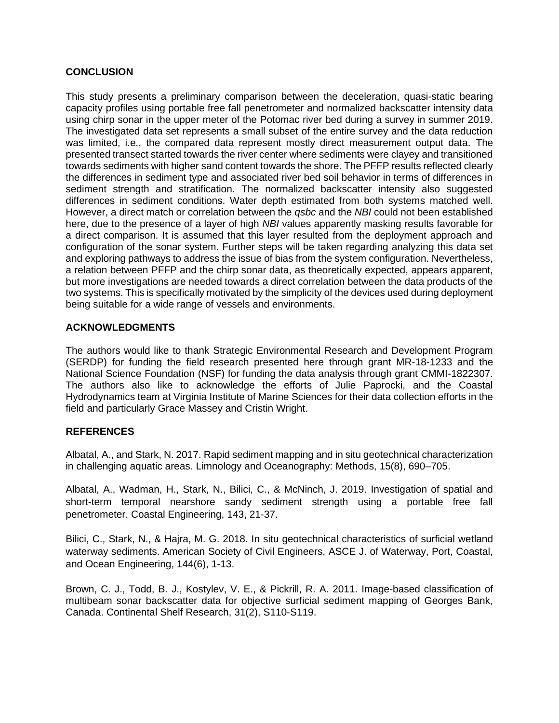### **CONCLUSION**

This study presents a preliminary comparison between the deceleration, quasi-static bearing capacity profiles using portable free fall penetrometer and normalized backscatter intensity data using chirp sonar in the upper meter of the Potomac river bed during a survey in summer 2019. The investigated data set represents a small subset of the entire survey and the data reduction was limited, i.e., the compared data represent mostly direct measurement output data. The presented transect started towards the river center where sediments were clayey and transitioned towards sediments with higher sand content towards the shore. The PFFP results reflected clearly the differences in sediment type and associated river bed soil behavior in terms of differences in sediment strength and stratification. The normalized backscatter intensity also suggested differences in sediment conditions. Water depth estimated from both systems matched well. However, a direct match or correlation between the *qsbc* and the *NBI* could not been established here, due to the presence of a layer of high *NBI* values apparently masking results favorable for a direct comparison. It is assumed that this layer resulted from the deployment approach and configuration of the sonar system. Further steps will be taken regarding analyzing this data set and exploring pathways to address the issue of bias from the system configuration. Nevertheless, a relation between PFFP and the chirp sonar data, as theoretically expected, appears apparent, but more investigations are needed towards a direct correlation between the data products of the two systems. This is specifically motivated by the simplicity of the devices used during deployment being suitable for a wide range of vessels and environments.

### **ACKNOWLEDGMENTS**

The authors would like to thank Strategic Environmental Research and Development Program (SERDP) for funding the field research presented here through grant MR-18-1233 and the National Science Foundation (NSF) for funding the data analysis through grant CMMI-1822307. The authors also like to acknowledge the efforts of Julie Paprocki, and the Coastal Hydrodynamics team at Virginia Institute of Marine Sciences for their data collection efforts in the field and particularly Grace Massey and Cristin Wright.

### **REFERENCES**

Albatal, A., and Stark, N. 2017. Rapid sediment mapping and in situ geotechnical characterization in challenging aquatic areas. Limnology and Oceanography: Methods, 15(8), 690–705.

Albatal, A., Wadman, H., Stark, N., Bilici, C., & McNinch, J. 2019. Investigation of spatial and short-term temporal nearshore sandy sediment strength using a portable free fall penetrometer. Coastal Engineering, 143, 21-37.

Bilici, C., Stark, N., & Hajra, M. G. 2018. In situ geotechnical characteristics of surficial wetland waterway sediments. American Society of Civil Engineers, ASCE J. of Waterway, Port, Coastal, and Ocean Engineering, 144(6), 1-13.

Brown, C. J., Todd, B. J., Kostylev, V. E., & Pickrill, R. A. 2011. Image-based classification of multibeam sonar backscatter data for objective surficial sediment mapping of Georges Bank, Canada. Continental Shelf Research, 31(2), S110-S119.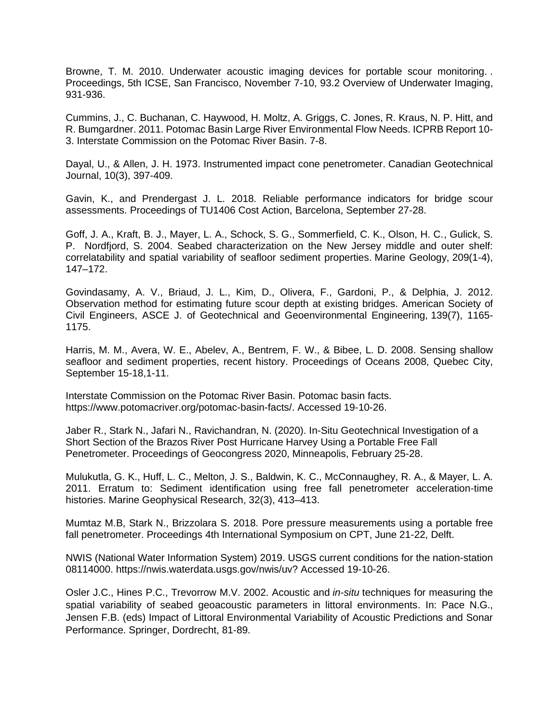Browne, T. M. 2010. Underwater acoustic imaging devices for portable scour monitoring. . Proceedings, 5th ICSE, San Francisco, November 7-10, 93.2 Overview of Underwater Imaging, 931-936.

Cummins, J., C. Buchanan, C. Haywood, H. Moltz, A. Griggs, C. Jones, R. Kraus, N. P. Hitt, and R. Bumgardner. 2011. Potomac Basin Large River Environmental Flow Needs. ICPRB Report 10- 3. Interstate Commission on the Potomac River Basin. 7-8.

Dayal, U., & Allen, J. H. 1973. Instrumented impact cone penetrometer. Canadian Geotechnical Journal, 10(3), 397-409.

Gavin, K., and Prendergast J. L. 2018. Reliable performance indicators for bridge scour assessments. Proceedings of TU1406 Cost Action, Barcelona, September 27-28.

Goff, J. A., Kraft, B. J., Mayer, L. A., Schock, S. G., Sommerfield, C. K., Olson, H. C., Gulick, S. P. Nordfjord, S. 2004. Seabed characterization on the New Jersey middle and outer shelf: correlatability and spatial variability of seafloor sediment properties. Marine Geology, 209(1-4), 147–172.

Govindasamy, A. V., Briaud, J. L., Kim, D., Olivera, F., Gardoni, P., & Delphia, J. 2012. Observation method for estimating future scour depth at existing bridges. American Society of Civil Engineers, ASCE J. of Geotechnical and Geoenvironmental Engineering, 139(7), 1165- 1175.

Harris, M. M., Avera, W. E., Abelev, A., Bentrem, F. W., & Bibee, L. D. 2008. Sensing shallow seafloor and sediment properties, recent history. Proceedings of Oceans 2008, Quebec City, September 15-18,1-11.

Interstate Commission on the Potomac River Basin. Potomac basin facts. [https://www.potomacriver.org/potomac-basin-facts/.](https://www.potomacriver.org/potomac-basin-facts/) Accessed 19-10-26.

Jaber R., Stark N., Jafari N., Ravichandran, N. (2020). In-Situ Geotechnical Investigation of a Short Section of the Brazos River Post Hurricane Harvey Using a Portable Free Fall Penetrometer. Proceedings of Geocongress 2020, Minneapolis, February 25-28.

Mulukutla, G. K., Huff, L. C., Melton, J. S., Baldwin, K. C., McConnaughey, R. A., & Mayer, L. A. 2011. Erratum to: Sediment identification using free fall penetrometer acceleration-time histories. Marine Geophysical Research, 32(3), 413–413.

Mumtaz M.B, Stark N., Brizzolara S. 2018. [Pore pressure measurements using a portable free](http://books.google.com/books?hl=en&lr=&id=leVfDwAAQBAJ&oi=fnd&pg=PA461&dq=info:u5TabBYBlY0J:scholar.google.com&ots=uii4leUmLN&sig=xLILkSlwWJAM70q2bKokZfPra3I)  [fall penetrometer.](http://books.google.com/books?hl=en&lr=&id=leVfDwAAQBAJ&oi=fnd&pg=PA461&dq=info:u5TabBYBlY0J:scholar.google.com&ots=uii4leUmLN&sig=xLILkSlwWJAM70q2bKokZfPra3I) Proceedings 4th International Symposium on CPT, June 21-22, Delft.

NWIS (National Water Information System) 2019. USGS current conditions for the nation-station 08114000. https://nwis.waterdata.usgs.gov/nwis/uv? Accessed 19-10-26.

Osler J.C., Hines P.C., Trevorrow M.V. 2002. Acoustic and *in-situ* techniques for measuring the spatial variability of seabed geoacoustic parameters in littoral environments. In: Pace N.G., Jensen F.B. (eds) Impact of Littoral Environmental Variability of Acoustic Predictions and Sonar Performance. Springer, Dordrecht, 81-89.